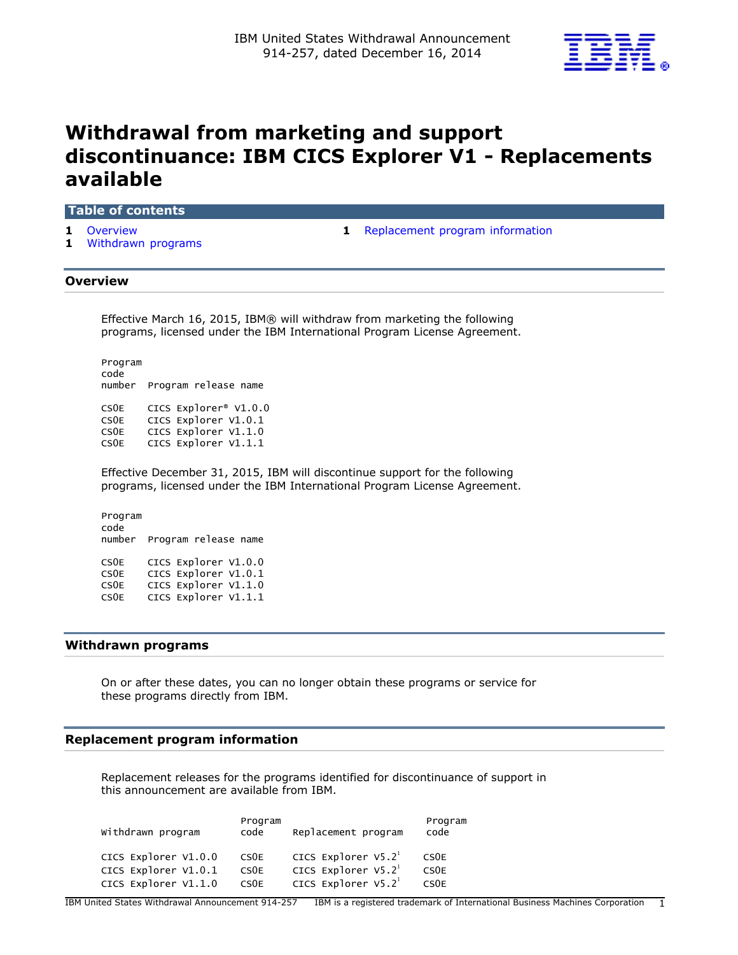

# **Withdrawal from marketing and support discontinuance: IBM CICS Explorer V1 - Replacements available**

## **Table of contents**

- 
- **1** [Withdrawn programs](#page-0-2)
- **1** [Overview](#page-0-0) **1** [Replacement program information](#page-0-1)

## <span id="page-0-0"></span>**Overview**

Effective March 16, 2015, IBM® will withdraw from marketing the following programs, licensed under the IBM International Program License Agreement.

Program code number Program release name CS0E CICS Explorer® V1.0.0 CS0E CICS Explorer V1.0.1 CSOE CICS Explorer V1.1.0<br>CSOE CICS Explorer V1.1.1 CICS Explorer V1.1.1

Effective December 31, 2015, IBM will discontinue support for the following programs, licensed under the IBM International Program License Agreement.

Program code number Program release name CS0E CICS Explorer V1.0.0 CS0E CICS Explorer V1.0.1 CS0E CICS Explorer V1.1.0 CS0E CICS Explorer V1.1.1

#### <span id="page-0-2"></span>**Withdrawn programs**

On or after these dates, you can no longer obtain these programs or service for these programs directly from IBM.

### <span id="page-0-1"></span>**Replacement program information**

Replacement releases for the programs identified for discontinuance of support in this announcement are available from IBM.

| CICS Explorer $V5.21$<br>CICS Explorer V1.0.0<br>CS <sub>OE</sub><br>CS <sub>0</sub> E<br>CICS Explorer $V5.21$<br>CICS Explorer V1.0.1<br>CS <sub>OE</sub><br>CS <sub>OE</sub><br>CICS Explorer $V5.21$<br>CICS Explorer V1.1.0<br>CS <sub>OE</sub><br>CS <sub>OE</sub> | Withdrawn program | Program<br>code | Replacement program | Program<br>code |
|--------------------------------------------------------------------------------------------------------------------------------------------------------------------------------------------------------------------------------------------------------------------------|-------------------|-----------------|---------------------|-----------------|
|                                                                                                                                                                                                                                                                          |                   |                 |                     |                 |